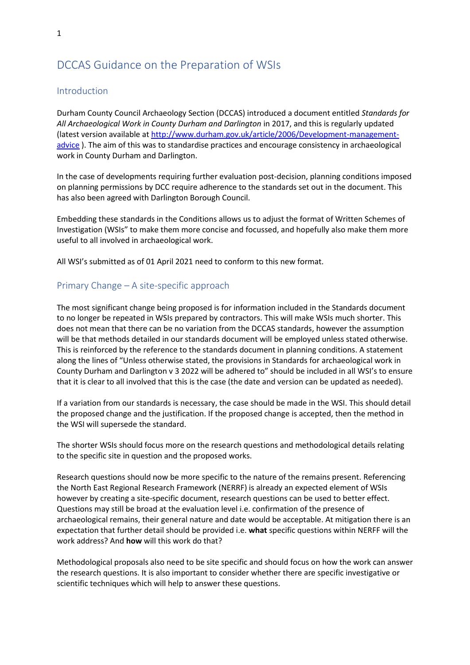# DCCAS Guidance on the Preparation of WSIs

## Introduction

Durham County Council Archaeology Section (DCCAS) introduced a document entitled *Standards for All Archaeological Work in County Durham and Darlington* in 2017, and this is regularly updated (latest version available a[t http://www.durham.gov.uk/article/2006/Development-management](http://www.durham.gov.uk/article/2006/Development-management-advice)[advice](http://www.durham.gov.uk/article/2006/Development-management-advice) ). The aim of this was to standardise practices and encourage consistency in archaeological work in County Durham and Darlington.

In the case of developments requiring further evaluation post-decision, planning conditions imposed on planning permissions by DCC require adherence to the standards set out in the document. This has also been agreed with Darlington Borough Council.

Embedding these standards in the Conditions allows us to adjust the format of Written Schemes of Investigation (WSIs" to make them more concise and focussed, and hopefully also make them more useful to all involved in archaeological work.

All WSI's submitted as of 01 April 2021 need to conform to this new format.

## Primary Change – A site-specific approach

The most significant change being proposed is for information included in the Standards document to no longer be repeated in WSIs prepared by contractors. This will make WSIs much shorter. This does not mean that there can be no variation from the DCCAS standards, however the assumption will be that methods detailed in our standards document will be employed unless stated otherwise. This is reinforced by the reference to the standards document in planning conditions. A statement along the lines of "Unless otherwise stated, the provisions in Standards for archaeological work in County Durham and Darlington v 3 2022 will be adhered to" should be included in all WSI's to ensure that it is clear to all involved that this is the case (the date and version can be updated as needed).

If a variation from our standards is necessary, the case should be made in the WSI. This should detail the proposed change and the justification. If the proposed change is accepted, then the method in the WSI will supersede the standard.

The shorter WSIs should focus more on the research questions and methodological details relating to the specific site in question and the proposed works.

Research questions should now be more specific to the nature of the remains present. Referencing the North East Regional Research Framework (NERRF) is already an expected element of WSIs however by creating a site-specific document, research questions can be used to better effect. Questions may still be broad at the evaluation level i.e. confirmation of the presence of archaeological remains, their general nature and date would be acceptable. At mitigation there is an expectation that further detail should be provided i.e. **what** specific questions within NERFF will the work address? And **how** will this work do that?

Methodological proposals also need to be site specific and should focus on how the work can answer the research questions. It is also important to consider whether there are specific investigative or scientific techniques which will help to answer these questions.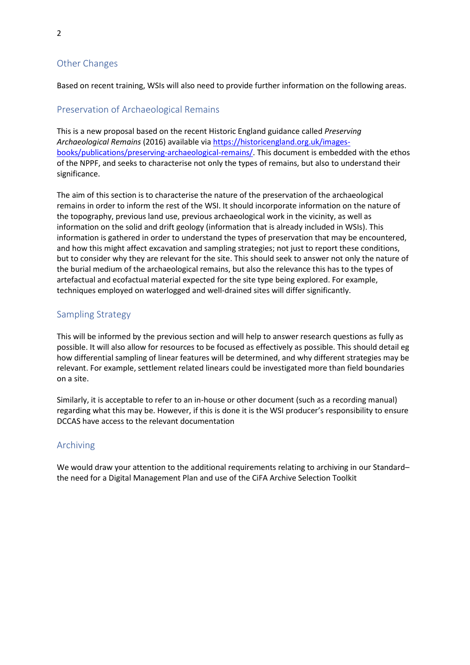## Other Changes

Based on recent training, WSIs will also need to provide further information on the following areas.

#### Preservation of Archaeological Remains

This is a new proposal based on the recent Historic England guidance called *Preserving Archaeological Remains* (2016) available via [https://historicengland.org.uk/images](https://historicengland.org.uk/images-books/publications/preserving-archaeological-remains/)[books/publications/preserving-archaeological-remains/.](https://historicengland.org.uk/images-books/publications/preserving-archaeological-remains/) This document is embedded with the ethos of the NPPF, and seeks to characterise not only the types of remains, but also to understand their significance.

The aim of this section is to characterise the nature of the preservation of the archaeological remains in order to inform the rest of the WSI. It should incorporate information on the nature of the topography, previous land use, previous archaeological work in the vicinity, as well as information on the solid and drift geology (information that is already included in WSIs). This information is gathered in order to understand the types of preservation that may be encountered, and how this might affect excavation and sampling strategies; not just to report these conditions, but to consider why they are relevant for the site. This should seek to answer not only the nature of the burial medium of the archaeological remains, but also the relevance this has to the types of artefactual and ecofactual material expected for the site type being explored. For example, techniques employed on waterlogged and well-drained sites will differ significantly.

#### Sampling Strategy

This will be informed by the previous section and will help to answer research questions as fully as possible. It will also allow for resources to be focused as effectively as possible. This should detail eg how differential sampling of linear features will be determined, and why different strategies may be relevant. For example, settlement related linears could be investigated more than field boundaries on a site.

Similarly, it is acceptable to refer to an in-house or other document (such as a recording manual) regarding what this may be. However, if this is done it is the WSI producer's responsibility to ensure DCCAS have access to the relevant documentation

#### Archiving

We would draw your attention to the additional requirements relating to archiving in our Standard– the need for a Digital Management Plan and use of the CiFA Archive Selection Toolkit